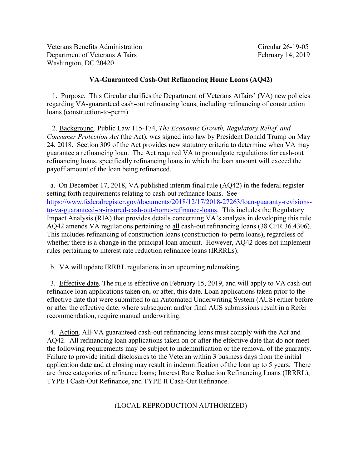Veterans Benefits Administration Circular 26-19-05 Department of Veterans Affairs February 14, 2019 Washington, DC 20420

## **VA-Guaranteed Cash-Out Refinancing Home Loans (AQ42)**

1. Purpose. This Circular clarifies the Department of Veterans Affairs' (VA) new policies regarding VA-guaranteed cash-out refinancing loans, including refinancing of construction loans (construction-to-perm).

 24, 2018. Section 309 of the Act provides new statutory criteria to determine when VA may guarantee a refinancing loan. The Act required VA to promulgate regulations for cash-out payoff amount of the loan being refinanced. 2. Background. Public Law 115-174, *The Economic Growth, Regulatory Relief, and Consumer Protection Act* (the Act), was signed into law by President Donald Trump on May refinancing loans, specifically refinancing loans in which the loan amount will exceed the

a. On December 17, 2018, VA published interim final rule (AQ42) in the federal register setting forth requirements relating to cash-out refinance loans. See [https://www.federalregister.gov/documents/2018/12/17/2018-27263/loan-guaranty-revisions](https://www.federalregister.gov/documents/2018/12/17/2018-27263/loan-guaranty-revisions-to-va-guaranteed-or-insured-cash-out-home-refinance-loans)[to-va-guaranteed-or-insured-cash-out-home-refinance-loans.](https://www.federalregister.gov/documents/2018/12/17/2018-27263/loan-guaranty-revisions-to-va-guaranteed-or-insured-cash-out-home-refinance-loans) This includes the Regulatory Impact Analysis (RIA) that provides details concerning VA's analysis in developing this rule. AQ42 amends VA regulations pertaining to all cash-out refinancing loans (38 CFR 36.4306). This includes refinancing of construction loans (construction-to-perm loans), regardless of whether there is a change in the principal loan amount. However, AQ42 does not implement rules pertaining to interest rate reduction refinance loans (IRRRLs).

b. VA will update IRRRL regulations in an upcoming rulemaking.

3. Effective date. The rule is effective on February 15, 2019, and will apply to VA cash-out refinance loan applications taken on, or after, this date. Loan applications taken prior to the effective date that were submitted to an Automated Underwriting System (AUS) either before or after the effective date, where subsequent and/or final AUS submissions result in a Refer recommendation, require manual underwriting.

 are three categories of refinance loans; Interest Rate Reduction Refinancing Loans (IRRRL), 4. Action. All-VA guaranteed cash-out refinancing loans must comply with the Act and AQ42. All refinancing loan applications taken on or after the effective date that do not meet the following requirements may be subject to indemnification or the removal of the guaranty. Failure to provide initial disclosures to the Veteran within 3 business days from the initial application date and at closing may result in indemnification of the loan up to 5 years. There TYPE I Cash-Out Refinance, and TYPE II Cash-Out Refinance.

## (LOCAL REPRODUCTION AUTHORIZED)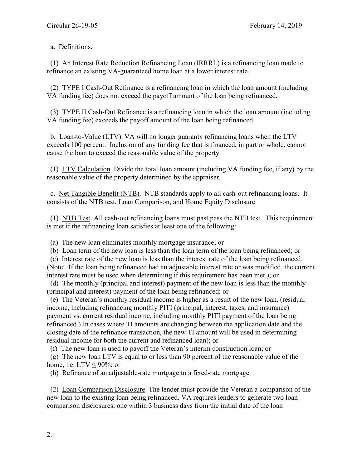## a. Definitions.

refinance an existing VA-guaranteed home loan at a lower interest rate. (1) An Interest Rate Reduction Refinancing Loan (IRRRL) is a refinancing loan made to

VA funding fee) does not exceed the payoff amount of the loan being refinanced. (2) TYPE I Cash-Out Refinance is a refinancing loan in which the loan amount (including

 VA funding fee) exceeds the payoff amount of the loan being refinanced. (3) TYPE II Cash-Out Refinance is a refinancing loan in which the loan amount (including

 exceeds 100 percent. Inclusion of any funding fee that is financed, in part or whole, cannot cause the loan to exceed the reasonable value of the property. b. Loan-to-Value (LTV). VA will no longer guaranty refinancing loans when the LTV

(1)  $LTV$  Calculation. Divide the total loan amount (including VA funding fee, if any) by the reasonable value of the property determined by the appraiser.

c. Net Tangible Benefit (NTB). NTB standards apply to all cash-out refinancing loans. It consists of the NTB test, Loan Comparison, and Home Equity Disclosure

(1) NTB Test. All cash-out refinancing loans must past pass the NTB test. This requirement is met if the refinancing loan satisfies at least one of the following:

(a) The new loan eliminates monthly mortgage insurance; or

(b) Loan term of the new loan is less than the loan term of the loan being refinanced; or

 (Note: If the loan being refinanced had an adjustable interest rate or was modified, the current (c) Interest rate of the new loan is less than the interest rate of the loan being refinanced. interest rate must be used when determining if this requirement has been met.); or

(principal and interest) payment of the loan being refinanced; or (d) The monthly (principal and interest) payment of the new loan is less than the monthly

 closing date of the refinance transaction, the new TI amount will be used in determining residual income for both the current and refinanced loan); or (e) The Veteran's monthly residual income is higher as a result of the new loan. (residual  $\epsilon$ income, including refinancing monthly PITI (principal, interest, taxes, and insurance) payment vs. current residual income, including monthly PITI payment of the loan being refinanced.) In cases where TI amounts are changing between the application date and the

(f) The new loan is used to payoff the Veteran's interim construction loan; or

home, i.e.  $LTV \leq 90\%$ ; or (g) The new loan LTV is equal to or less than 90 percent of the reasonable value of the

(h) Refinance of an adjustable-rate mortgage to a fixed-rate mortgage.

(2) Loan Comparison Disclosure. The lender must provide the Veteran a comparison of the new loan to the existing loan being refinanced. VA requires lenders to generate two loan comparison disclosures, one within 3 business days from the initial date of the loan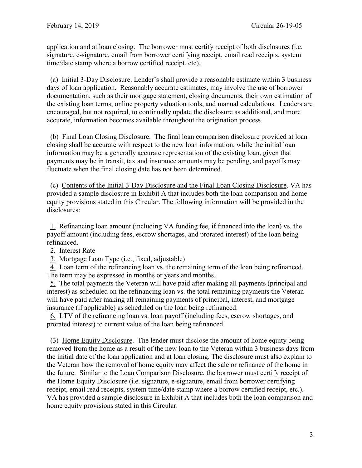application and at loan closing. The borrower must certify receipt of both disclosures (i.e. signature, e-signature, email from borrower certifying receipt, email read receipts, system time/date stamp where a borrow certified receipt, etc).

(a) Initial 3-Day Disclosure. Lender's shall provide a reasonable estimate within 3 business days of loan application. Reasonably accurate estimates, may involve the use of borrower documentation, such as their mortgage statement, closing documents, their own estimation of the existing loan terms, online property valuation tools, and manual calculations. Lenders are encouraged, but not required, to continually update the disclosure as additional, and more accurate, information becomes available throughout the origination process.

 fluctuate when the final closing date has not been determined. (b) Final Loan Closing Disclosure. The final loan comparison disclosure provided at loan closing shall be accurate with respect to the new loan information, while the initial loan information may be a generally accurate representation of the existing loan, given that payments may be in transit, tax and insurance amounts may be pending, and payoffs may

disclosures: (c) Contents of the Initial 3-Day Disclosure and the Final Loan Closing Disclosure. VA has provided a sample disclosure in Exhibit A that includes both the loan comparison and home equity provisions stated in this Circular. The following information will be provided in the

refinanced. 1. Refinancing loan amount (including VA funding fee, if financed into the loan) vs. the payoff amount (including fees, escrow shortages, and prorated interest) of the loan being

2. Interest Rate

3. Mortgage Loan Type (i.e., fixed, adjustable)

4. Loan term of the refinancing loan vs. the remaining term of the loan being refinanced. The term may be expressed in months or years and months.

5. The total payments the Veteran will have paid after making all payments (principal and interest) as scheduled on the refinancing loan vs. the total remaining payments the Veteran will have paid after making all remaining payments of principal, interest, and mortgage insurance (if applicable) as scheduled on the loan being refinanced.

6. LTV of the refinancing loan vs. loan payoff (including fees, escrow shortages, and prorated interest) to current value of the loan being refinanced.

 removed from the home as a result of the new loan to the Veteran within 3 business days from receipt, email read receipts, system time/date stamp where a borrow certified receipt, etc.). receipt, email read receipts, system time/date stamp where a borrow certified receipt, etc.). VA has provided a sample disclosure in Exhibit A that includes both the loan comparison and home equity provisions stated in this Circular. (3) Home Equity Disclosure. The lender must disclose the amount of home equity being the initial date of the loan application and at loan closing. The disclosure must also explain to the Veteran how the removal of home equity may affect the sale or refinance of the home in the future. Similar to the Loan Comparison Disclosure, the borrower must certify receipt of the Home Equity Disclosure (i.e. signature, e-signature, email from borrower certifying home equity provisions stated in this Circular.<br>3.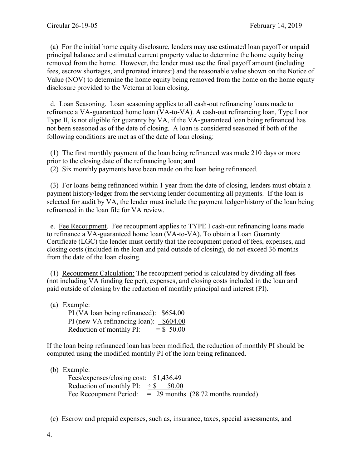(a) For the initial home equity disclosure, lenders may use estimated loan payoff or unpaid principal balance and estimated current property value to determine the home equity being removed from the home. However, the lender must use the final payoff amount (including fees, escrow shortages, and prorated interest) and the reasonable value shown on the Notice of Value (NOV) to determine the home equity being removed from the home on the home equity disclosure provided to the Veteran at loan closing.

 refinance a VA-guaranteed home loan (VA-to-VA). A cash-out refinancing loan, Type I nor following conditions are met as of the date of loan closing: d. Loan Seasoning. Loan seasoning applies to all cash-out refinancing loans made to Type II, is not eligible for guaranty by VA, if the VA-guaranteed loan being refinanced has not been seasoned as of the date of closing. A loan is considered seasoned if both of the

 prior to the closing date of the refinancing loan; **and** (1) The first monthly payment of the loan being refinanced was made 210 days or more

(2) Six monthly payments have been made on the loan being refinanced.

(3) For loans being refinanced within 1 year from the date of closing, lenders must obtain a payment history/ledger from the servicing lender documenting all payments. If the loan is selected for audit by VA, the lender must include the payment ledger/history of the loan being refinanced in the loan file for VA review.

e. Fee Recoupment. Fee recoupment applies to TYPE I cash-out refinancing loans made to refinance a VA-guaranteed home loan (VA-to-VA). To obtain a Loan Guaranty Certificate (LGC) the lender must certify that the recoupment period of fees, expenses, and closing costs (included in the loan and paid outside of closing), do not exceed 36 months from the date of the loan closing.

 paid outside of closing by the reduction of monthly principal and interest (PI). (1) Recoupment Calculation: The recoupment period is calculated by dividing all fees (not including VA funding fee per), expenses, and closing costs included in the loan and

(a) Example:

PI (new VA refinancing loan): - \$604.00 PI (VA loan being refinanced): \$654.00 Reduction of monthly PI:  $= $,50.00$ 

If the loan being refinanced loan has been modified, the reduction of monthly PI should be computed using the modified monthly PI of the loan being refinanced.

## (b) Example:

 Fees/expenses/closing cost: [\\$1,436.49](https://1,436.49) Reduction of monthly PI:  $\div$  \$ 50.00 Fee Recoupment Period: = 29 months (28.72 months rounded)

(c) Escrow and prepaid expenses, such as, insurance, taxes, special assessments, and